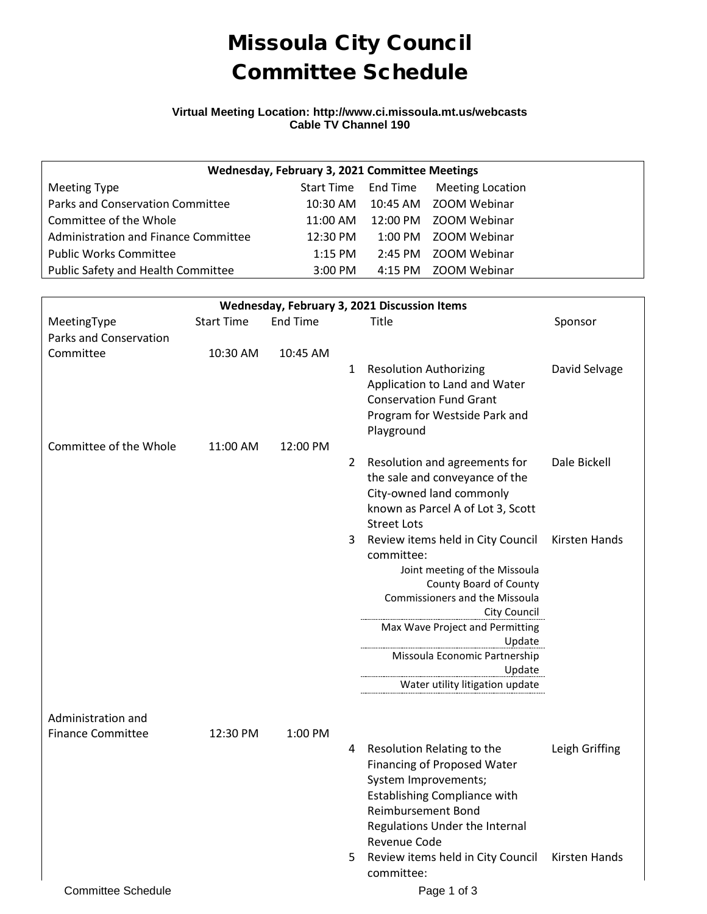# Missoula City Council Committee Schedule

#### **Virtual Meeting Location: http://www.ci.missoula.mt.us/webcasts Cable TV Channel 190**

| Wednesday, February 3, 2021 Committee Meetings |                    |  |                                      |  |  |  |  |
|------------------------------------------------|--------------------|--|--------------------------------------|--|--|--|--|
| Meeting Type                                   |                    |  | Start Time End Time Meeting Location |  |  |  |  |
| Parks and Conservation Committee               |                    |  | 10:30 AM  10:45 AM  ZOOM Webinar     |  |  |  |  |
| Committee of the Whole                         |                    |  | 11:00 AM  12:00 PM  ZOOM Webinar     |  |  |  |  |
| Administration and Finance Committee           | $12:30 \text{ PM}$ |  | 1:00 PM ZOOM Webinar                 |  |  |  |  |
| <b>Public Works Committee</b>                  | $1:15$ PM          |  | 2:45 PM 700M Webinar                 |  |  |  |  |
| Public Safety and Health Committee             | $3:00$ PM          |  | 4:15 PM 700M Webinar                 |  |  |  |  |

| Wednesday, February 3, 2021 Discussion Items   |                   |                 |   |                                                                  |                |  |  |  |
|------------------------------------------------|-------------------|-----------------|---|------------------------------------------------------------------|----------------|--|--|--|
| MeetingType                                    | <b>Start Time</b> | <b>End Time</b> |   | Title                                                            | Sponsor        |  |  |  |
| <b>Parks and Conservation</b>                  |                   |                 |   |                                                                  |                |  |  |  |
| Committee                                      | 10:30 AM          | 10:45 AM        |   |                                                                  |                |  |  |  |
|                                                |                   |                 | 1 | <b>Resolution Authorizing</b>                                    | David Selvage  |  |  |  |
|                                                |                   |                 |   | Application to Land and Water                                    |                |  |  |  |
|                                                |                   |                 |   | <b>Conservation Fund Grant</b>                                   |                |  |  |  |
|                                                |                   |                 |   | Program for Westside Park and                                    |                |  |  |  |
|                                                |                   |                 |   | Playground                                                       |                |  |  |  |
| Committee of the Whole                         | 11:00 AM          | 12:00 PM        |   |                                                                  |                |  |  |  |
|                                                |                   |                 | 2 | Resolution and agreements for                                    | Dale Bickell   |  |  |  |
|                                                |                   |                 |   | the sale and conveyance of the                                   |                |  |  |  |
|                                                |                   |                 |   | City-owned land commonly                                         |                |  |  |  |
|                                                |                   |                 |   | known as Parcel A of Lot 3, Scott                                |                |  |  |  |
|                                                |                   |                 |   | <b>Street Lots</b>                                               |                |  |  |  |
|                                                |                   |                 | 3 | Review items held in City Council<br>committee:                  | Kirsten Hands  |  |  |  |
|                                                |                   |                 |   | Joint meeting of the Missoula                                    |                |  |  |  |
|                                                |                   |                 |   | County Board of County                                           |                |  |  |  |
|                                                |                   |                 |   | Commissioners and the Missoula                                   |                |  |  |  |
|                                                |                   |                 |   | City Council                                                     |                |  |  |  |
|                                                |                   |                 |   | Max Wave Project and Permitting                                  |                |  |  |  |
|                                                |                   |                 |   | Update                                                           |                |  |  |  |
|                                                |                   |                 |   | Missoula Economic Partnership                                    |                |  |  |  |
|                                                |                   |                 |   | Update                                                           |                |  |  |  |
|                                                |                   |                 |   | Water utility litigation update                                  |                |  |  |  |
|                                                |                   |                 |   |                                                                  |                |  |  |  |
| Administration and<br><b>Finance Committee</b> |                   |                 |   |                                                                  |                |  |  |  |
|                                                | 12:30 PM          | 1:00 PM         |   |                                                                  |                |  |  |  |
|                                                |                   |                 | 4 | Resolution Relating to the                                       | Leigh Griffing |  |  |  |
|                                                |                   |                 |   | Financing of Proposed Water                                      |                |  |  |  |
|                                                |                   |                 |   | System Improvements;                                             |                |  |  |  |
|                                                |                   |                 |   | <b>Establishing Compliance with</b><br><b>Reimbursement Bond</b> |                |  |  |  |
|                                                |                   |                 |   | Regulations Under the Internal                                   |                |  |  |  |
|                                                |                   |                 |   | Revenue Code                                                     |                |  |  |  |
|                                                |                   |                 | 5 | Review items held in City Council Kirsten Hands                  |                |  |  |  |
|                                                |                   |                 |   | committee:                                                       |                |  |  |  |
| <b>Committee Schedule</b>                      |                   |                 |   |                                                                  |                |  |  |  |
|                                                |                   |                 |   | Page 1 of 3                                                      |                |  |  |  |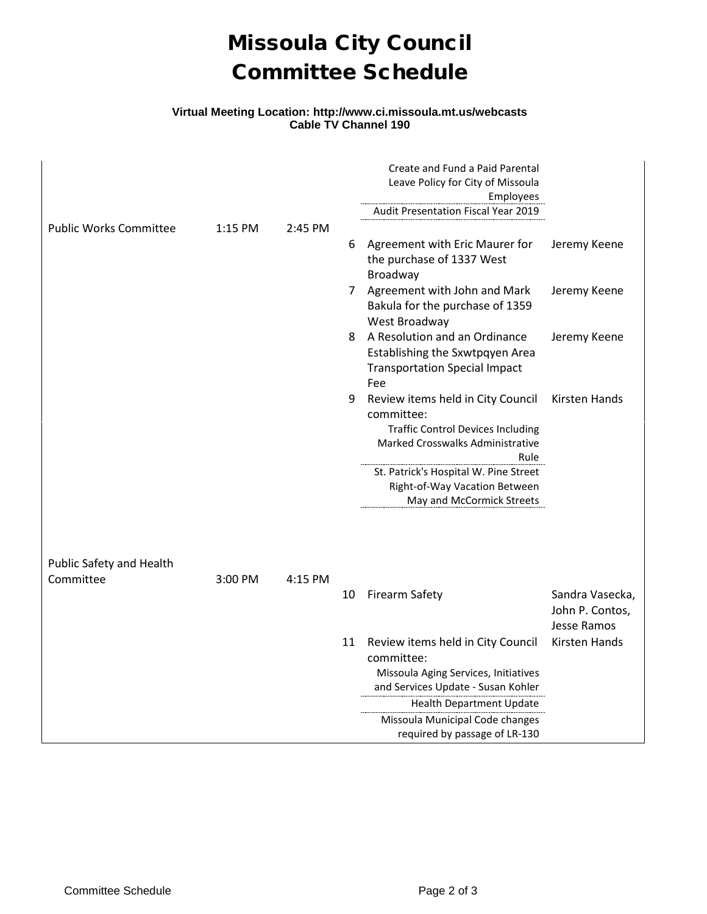## Missoula City Council Committee Schedule

### **Virtual Meeting Location: http://www.ci.missoula.mt.us/webcasts Cable TV Channel 190**

|                               |           |         |    | Create and Fund a Paid Parental<br>Leave Policy for City of Missoula<br>Employees                                                              |                                                   |
|-------------------------------|-----------|---------|----|------------------------------------------------------------------------------------------------------------------------------------------------|---------------------------------------------------|
|                               |           |         |    | Audit Presentation Fiscal Year 2019                                                                                                            |                                                   |
| <b>Public Works Committee</b> | $1:15$ PM | 2:45 PM | 6  | Agreement with Eric Maurer for<br>the purchase of 1337 West<br>Broadway                                                                        | Jeremy Keene                                      |
|                               |           |         | 7  | Agreement with John and Mark<br>Bakula for the purchase of 1359<br>West Broadway                                                               | Jeremy Keene                                      |
|                               |           |         | 8  | A Resolution and an Ordinance<br>Establishing the Sxwtpqyen Area<br><b>Transportation Special Impact</b><br>Fee                                | Jeremy Keene                                      |
|                               |           |         | 9  | Review items held in City Council<br>committee:<br><b>Traffic Control Devices Including</b><br><b>Marked Crosswalks Administrative</b><br>Rule | Kirsten Hands                                     |
|                               |           |         |    | St. Patrick's Hospital W. Pine Street<br>Right-of-Way Vacation Between<br>May and McCormick Streets                                            |                                                   |
| Public Safety and Health      |           |         |    |                                                                                                                                                |                                                   |
| Committee                     | 3:00 PM   | 4:15 PM |    |                                                                                                                                                |                                                   |
|                               |           |         | 10 | <b>Firearm Safety</b>                                                                                                                          | Sandra Vasecka,<br>John P. Contos,<br>Jesse Ramos |
|                               |           |         | 11 | Review items held in City Council<br>committee:<br>Missoula Aging Services, Initiatives                                                        | Kirsten Hands                                     |
|                               |           |         |    | and Services Update - Susan Kohler                                                                                                             |                                                   |
|                               |           |         |    | Health Department Update                                                                                                                       |                                                   |
|                               |           |         |    | Missoula Municipal Code changes<br>required by passage of LR-130                                                                               |                                                   |